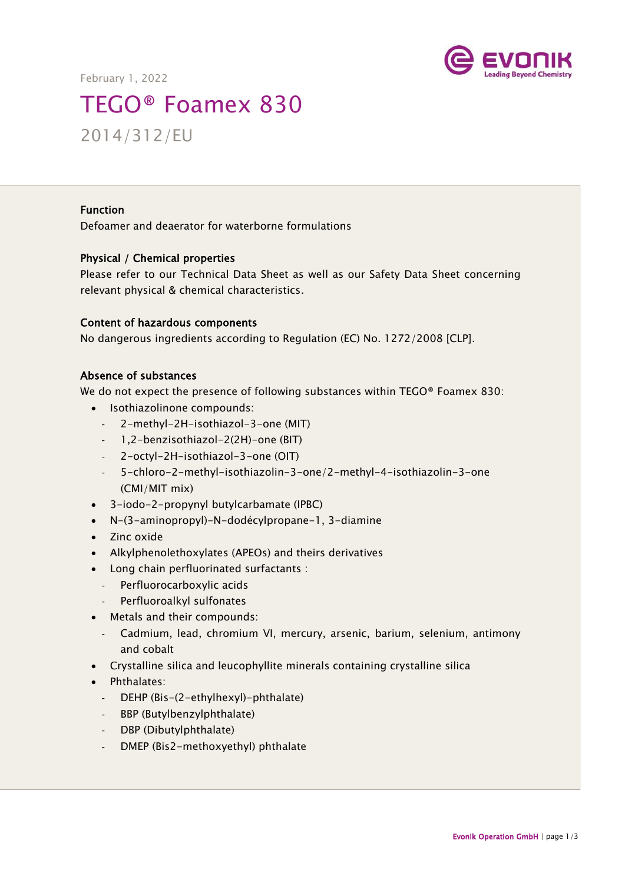



# TEGO® Foamex 830 2014/312/EU

#### Function

Defoamer and deaerator for waterborne formulations

#### Physical / Chemical properties

Please refer to our Technical Data Sheet as well as our Safety Data Sheet concerning relevant physical & chemical characteristics.

## Content of hazardous components

No dangerous ingredients according to Regulation (EC) No. 1272/2008 [CLP].

#### Absence of substances

We do not expect the presence of following substances within TEGO® Foamex 830:

- Isothiazolinone compounds:
	- 2-methyl-2H-isothiazol-3-one (MIT)
	- 1,2-benzisothiazol-2(2H)-one (BIT)
	- 2-octyl-2H-isothiazol-3-one (OIT)
	- 5-chloro-2-methyl-isothiazolin-3-one/2-methyl-4-isothiazolin-3-one (CMI/MIT mix)
- 3-iodo-2-propynyl butylcarbamate (IPBC)
- N-(3-aminopropyl)-N-dodécylpropane-1, 3-diamine
- Zinc oxide
- Alkylphenolethoxylates (APEOs) and theirs derivatives
- Long chain perfluorinated surfactants :
	- Perfluorocarboxylic acids
	- Perfluoroalkyl sulfonates
- Metals and their compounds:
	- Cadmium, lead, chromium VI, mercury, arsenic, barium, selenium, antimony and cobalt
- Crystalline silica and leucophyllite minerals containing crystalline silica
- Phthalates:
	- DEHP (Bis-(2-ethylhexyl)-phthalate)
	- BBP (Butylbenzylphthalate)
	- DBP (Dibutylphthalate)
	- DMEP (Bis2-methoxyethyl) phthalate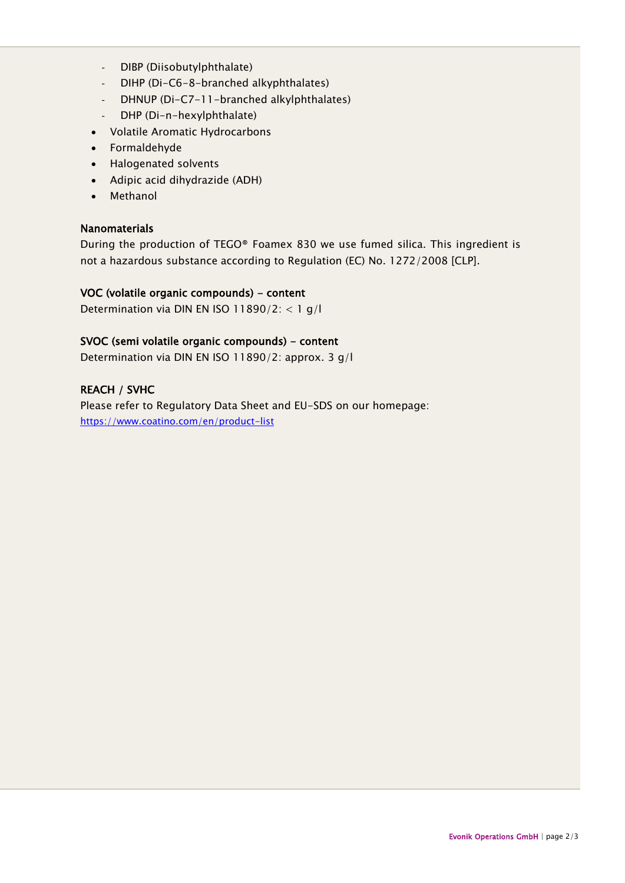- DIBP (Diisobutylphthalate)
- DIHP (Di-C6-8-branched alkyphthalates)
- DHNUP (Di-C7-11-branched alkylphthalates)
- DHP (Di-n-hexylphthalate)
- Volatile Aromatic Hydrocarbons
- Formaldehyde
- Halogenated solvents
- Adipic acid dihydrazide (ADH)
- Methanol

#### Nanomaterials

During the production of TEGO® Foamex 830 we use fumed silica. This ingredient is not a hazardous substance according to Regulation (EC) No. 1272/2008 [CLP].

#### VOC (volatile organic compounds) - content

Determination via DIN EN ISO 11890/2: < 1 g/l

#### SVOC (semi volatile organic compounds) - content

Determination via DIN EN ISO 11890/2: approx. 3 g/l

## REACH / SVHC

Please refer to Regulatory Data Sheet and EU-SDS on our homepage: <https://www.coatino.com/en/product-list>